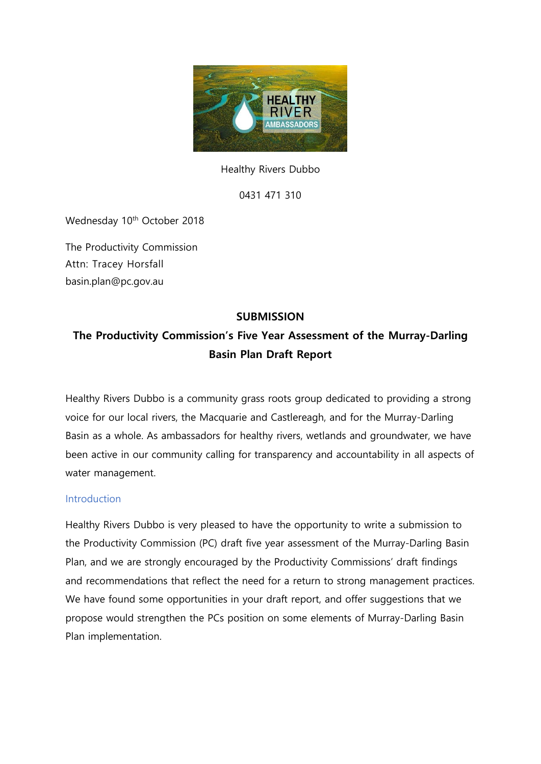

Healthy Rivers Dubbo

0431 471 310

Wednesday 10<sup>th</sup> October 2018

The Productivity Commission Attn: Tracey Horsfall [basin.plan@pc.gov.au](mailto:basin.plan@pc.gov.au)

# **SUBMISSION**

# **The Productivity Commission's Five Year Assessment of the Murray-Darling Basin Plan Draft Report**

Healthy Rivers Dubbo is a community grass roots group dedicated to providing a strong voice for our local rivers, the Macquarie and Castlereagh, and for the Murray-Darling Basin as a whole. As ambassadors for healthy rivers, wetlands and groundwater, we have been active in our community calling for transparency and accountability in all aspects of water management.

#### **Introduction**

Healthy Rivers Dubbo is very pleased to have the opportunity to write a submission to the Productivity Commission (PC) draft five year assessment of the Murray-Darling Basin Plan, and we are strongly encouraged by the Productivity Commissions' draft findings and recommendations that reflect the need for a return to strong management practices. We have found some opportunities in your draft report, and offer suggestions that we propose would strengthen the PCs position on some elements of Murray-Darling Basin Plan implementation.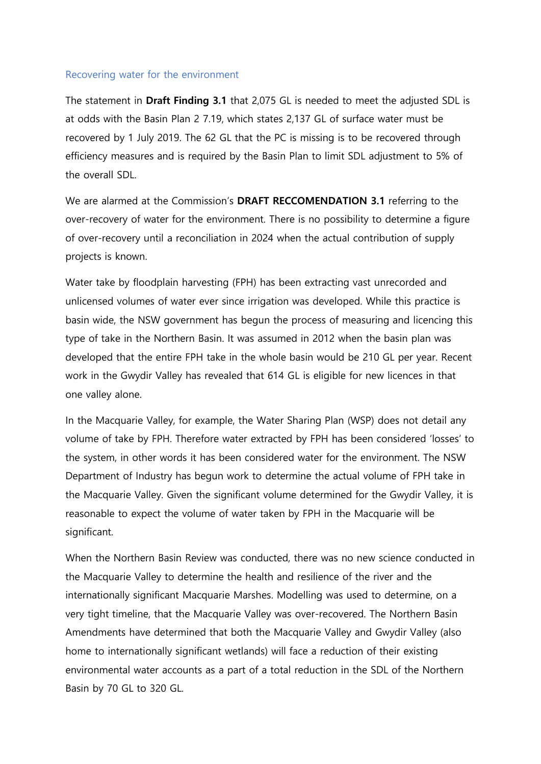#### Recovering water for the environment

The statement in **Draft Finding 3.1** that 2,075 GL is needed to meet the adjusted SDL is at odds with the Basin Plan 2 7.19, which states 2,137 GL of surface water must be recovered by 1 July 2019. The 62 GL that the PC is missing is to be recovered through efficiency measures and is required by the Basin Plan to limit SDL adjustment to 5% of the overall SDL.

We are alarmed at the Commission's **DRAFT RECCOMENDATION 3.1** referring to the over-recovery of water for the environment. There is no possibility to determine a figure of over-recovery until a reconciliation in 2024 when the actual contribution of supply projects is known.

Water take by floodplain harvesting (FPH) has been extracting vast unrecorded and unlicensed volumes of water ever since irrigation was developed. While this practice is basin wide, the NSW government has begun the process of measuring and licencing this type of take in the Northern Basin. It was assumed in 2012 when the basin plan was developed that the entire FPH take in the whole basin would be 210 GL per year. Recent work in the Gwydir Valley has revealed that 614 GL is eligible for new licences in that one valley alone.

In the Macquarie Valley, for example, the Water Sharing Plan (WSP) does not detail any volume of take by FPH. Therefore water extracted by FPH has been considered 'losses' to the system, in other words it has been considered water for the environment. The NSW Department of Industry has begun work to determine the actual volume of FPH take in the Macquarie Valley. Given the significant volume determined for the Gwydir Valley, it is reasonable to expect the volume of water taken by FPH in the Macquarie will be significant.

When the Northern Basin Review was conducted, there was no new science conducted in the Macquarie Valley to determine the health and resilience of the river and the internationally significant Macquarie Marshes. Modelling was used to determine, on a very tight timeline, that the Macquarie Valley was over-recovered. The Northern Basin Amendments have determined that both the Macquarie Valley and Gwydir Valley (also home to internationally significant wetlands) will face a reduction of their existing environmental water accounts as a part of a total reduction in the SDL of the Northern Basin by 70 GL to 320 GL.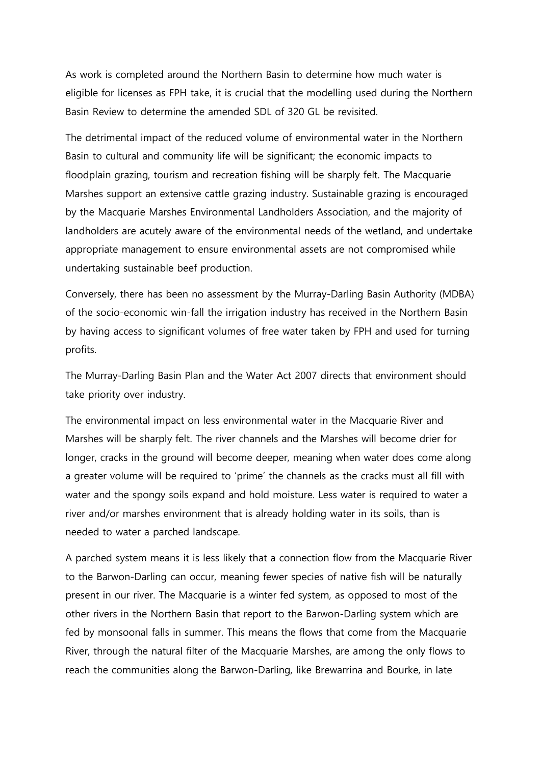As work is completed around the Northern Basin to determine how much water is eligible for licenses as FPH take, it is crucial that the modelling used during the Northern Basin Review to determine the amended SDL of 320 GL be revisited.

The detrimental impact of the reduced volume of environmental water in the Northern Basin to cultural and community life will be significant; the economic impacts to floodplain grazing, tourism and recreation fishing will be sharply felt. The Macquarie Marshes support an extensive cattle grazing industry. Sustainable grazing is encouraged by the Macquarie Marshes Environmental Landholders Association, and the majority of landholders are acutely aware of the environmental needs of the wetland, and undertake appropriate management to ensure environmental assets are not compromised while undertaking sustainable beef production.

Conversely, there has been no assessment by the Murray-Darling Basin Authority (MDBA) of the socio-economic win-fall the irrigation industry has received in the Northern Basin by having access to significant volumes of free water taken by FPH and used for turning profits.

The Murray-Darling Basin Plan and the Water Act 2007 directs that environment should take priority over industry.

The environmental impact on less environmental water in the Macquarie River and Marshes will be sharply felt. The river channels and the Marshes will become drier for longer, cracks in the ground will become deeper, meaning when water does come along a greater volume will be required to 'prime' the channels as the cracks must all fill with water and the spongy soils expand and hold moisture. Less water is required to water a river and/or marshes environment that is already holding water in its soils, than is needed to water a parched landscape.

A parched system means it is less likely that a connection flow from the Macquarie River to the Barwon-Darling can occur, meaning fewer species of native fish will be naturally present in our river. The Macquarie is a winter fed system, as opposed to most of the other rivers in the Northern Basin that report to the Barwon-Darling system which are fed by monsoonal falls in summer. This means the flows that come from the Macquarie River, through the natural filter of the Macquarie Marshes, are among the only flows to reach the communities along the Barwon-Darling, like Brewarrina and Bourke, in late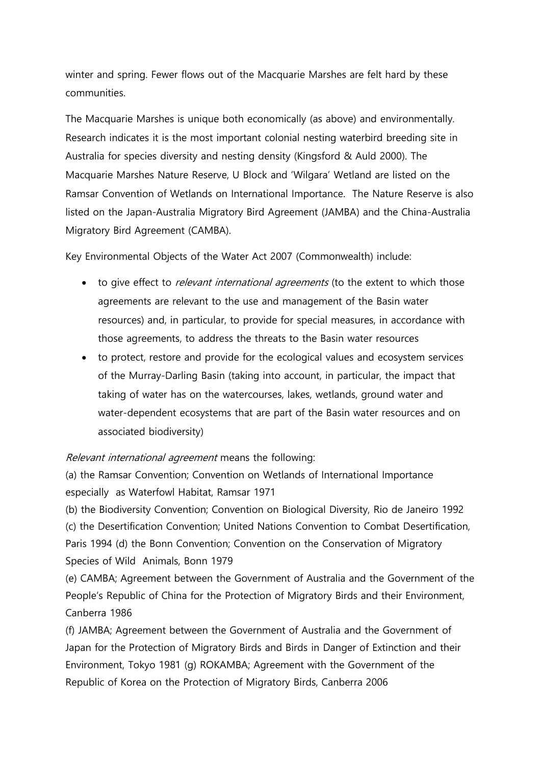winter and spring. Fewer flows out of the Macquarie Marshes are felt hard by these communities.

The Macquarie Marshes is unique both economically (as above) and environmentally. Research indicates it is the most important colonial nesting waterbird breeding site in Australia for species diversity and nesting density (Kingsford & Auld 2000). The Macquarie Marshes Nature Reserve, U Block and 'Wilgara' Wetland are listed on the Ramsar Convention of Wetlands on International Importance. The Nature Reserve is also listed on the Japan-Australia Migratory Bird Agreement (JAMBA) and the China-Australia Migratory Bird Agreement (CAMBA).

Key Environmental Objects of the Water Act 2007 (Commonwealth) include:

- to give effect to *relevant international agreements* (to the extent to which those agreements are relevant to the use and management of the Basin water resources) and, in particular, to provide for special measures, in accordance with those agreements, to address the threats to the Basin water resources
- to protect, restore and provide for the ecological values and ecosystem services of the Murray-Darling Basin (taking into account, in particular, the impact that taking of water has on the watercourses, lakes, wetlands, ground water and water-dependent ecosystems that are part of the Basin water resources and on associated biodiversity)

Relevant international agreement means the following:

(a) the Ramsar Convention; Convention on Wetlands of International Importance especially as Waterfowl Habitat, Ramsar 1971

(b) the Biodiversity Convention; Convention on Biological Diversity, Rio de Janeiro 1992 (c) the Desertification Convention; United Nations Convention to Combat Desertification, Paris 1994 (d) the Bonn Convention; Convention on the Conservation of Migratory Species of Wild Animals, Bonn 1979

(e) CAMBA; Agreement between the Government of Australia and the Government of the People's Republic of China for the Protection of Migratory Birds and their Environment, Canberra 1986

(f) JAMBA; Agreement between the Government of Australia and the Government of Japan for the Protection of Migratory Birds and Birds in Danger of Extinction and their Environment, Tokyo 1981 (g) ROKAMBA; Agreement with the Government of the Republic of Korea on the Protection of Migratory Birds, Canberra 2006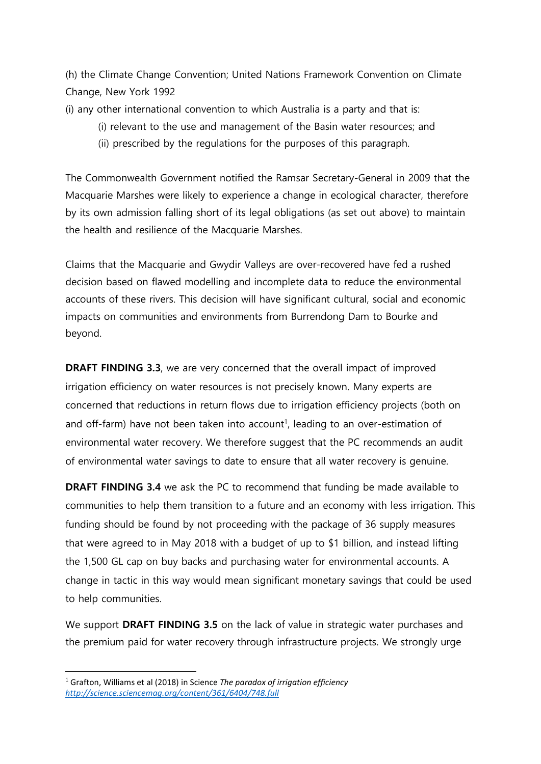(h) the Climate Change Convention; United Nations Framework Convention on Climate Change, New York 1992

(i) any other international convention to which Australia is a party and that is:

- (i) relevant to the use and management of the Basin water resources; and
- (ii) prescribed by the regulations for the purposes of this paragraph.

The Commonwealth Government notified the Ramsar Secretary-General in 2009 that the Macquarie Marshes were likely to experience a change in ecological character, therefore by its own admission falling short of its legal obligations (as set out above) to maintain the health and resilience of the Macquarie Marshes.

Claims that the Macquarie and Gwydir Valleys are over-recovered have fed a rushed decision based on flawed modelling and incomplete data to reduce the environmental accounts of these rivers. This decision will have significant cultural, social and economic impacts on communities and environments from Burrendong Dam to Bourke and beyond.

**DRAFT FINDING 3.3**, we are very concerned that the overall impact of improved irrigation efficiency on water resources is not precisely known. Many experts are concerned that reductions in return flows due to irrigation efficiency projects (both on and off-farm) have not been taken into account<sup>1</sup>, leading to an over-estimation of environmental water recovery. We therefore suggest that the PC recommends an audit of environmental water savings to date to ensure that all water recovery is genuine.

**DRAFT FINDING 3.4** we ask the PC to recommend that funding be made available to communities to help them transition to a future and an economy with less irrigation. This funding should be found by not proceeding with the package of 36 supply measures that were agreed to in May 2018 with a budget of up to \$1 billion, and instead lifting the 1,500 GL cap on buy backs and purchasing water for environmental accounts. A change in tactic in this way would mean significant monetary savings that could be used to help communities.

We support **DRAFT FINDING 3.5** on the lack of value in strategic water purchases and the premium paid for water recovery through infrastructure projects. We strongly urge

**<sup>.</sup>** <sup>1</sup> Grafton, Williams et al (2018) in Science *The paradox of irrigation efficiency <http://science.sciencemag.org/content/361/6404/748.full>*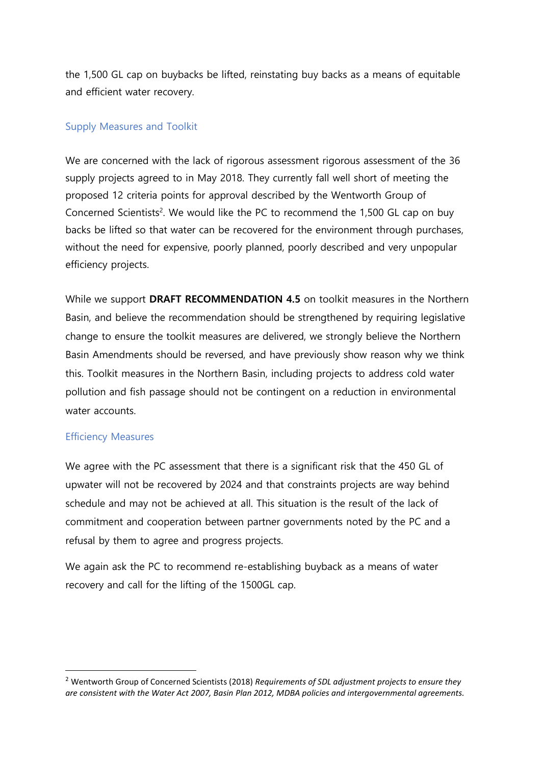the 1,500 GL cap on buybacks be lifted, reinstating buy backs as a means of equitable and efficient water recovery.

### Supply Measures and Toolkit

We are concerned with the lack of rigorous assessment rigorous assessment of the 36 supply projects agreed to in May 2018. They currently fall well short of meeting the proposed 12 criteria points for approval described by the Wentworth Group of Concerned Scientists<sup>2</sup>. We would like the PC to recommend the 1,500 GL cap on buy backs be lifted so that water can be recovered for the environment through purchases, without the need for expensive, poorly planned, poorly described and very unpopular efficiency projects.

While we support **DRAFT RECOMMENDATION 4.5** on toolkit measures in the Northern Basin, and believe the recommendation should be strengthened by requiring legislative change to ensure the toolkit measures are delivered, we strongly believe the Northern Basin Amendments should be reversed, and have previously show reason why we think this. Toolkit measures in the Northern Basin, including projects to address cold water pollution and fish passage should not be contingent on a reduction in environmental water accounts.

### Efficiency Measures

**.** 

We agree with the PC assessment that there is a significant risk that the 450 GL of upwater will not be recovered by 2024 and that constraints projects are way behind schedule and may not be achieved at all. This situation is the result of the lack of commitment and cooperation between partner governments noted by the PC and a refusal by them to agree and progress projects.

We again ask the PC to recommend re-establishing buyback as a means of water recovery and call for the lifting of the 1500GL cap.

<sup>2</sup> Wentworth Group of Concerned Scientists (2018) *Requirements of SDL adjustment projects to ensure they are consistent with the Water Act 2007, Basin Plan 2012, MDBA policies and intergovernmental agreements.*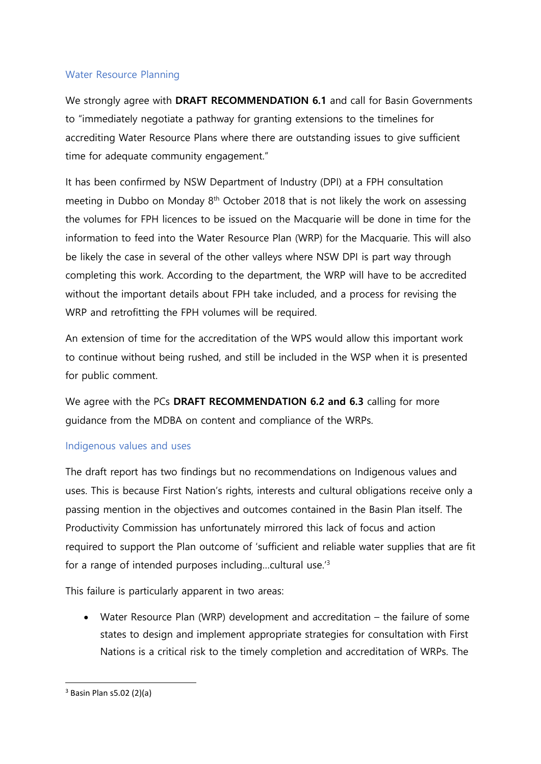# Water Resource Planning

We strongly agree with **DRAFT RECOMMENDATION 6.1** and call for Basin Governments to "immediately negotiate a pathway for granting extensions to the timelines for accrediting Water Resource Plans where there are outstanding issues to give sufficient time for adequate community engagement."

It has been confirmed by NSW Department of Industry (DPI) at a FPH consultation meeting in Dubbo on Monday 8<sup>th</sup> October 2018 that is not likely the work on assessing the volumes for FPH licences to be issued on the Macquarie will be done in time for the information to feed into the Water Resource Plan (WRP) for the Macquarie. This will also be likely the case in several of the other valleys where NSW DPI is part way through completing this work. According to the department, the WRP will have to be accredited without the important details about FPH take included, and a process for revising the WRP and retrofitting the FPH volumes will be required.

An extension of time for the accreditation of the WPS would allow this important work to continue without being rushed, and still be included in the WSP when it is presented for public comment.

We agree with the PCs **DRAFT RECOMMENDATION 6.2 and 6.3** calling for more guidance from the MDBA on content and compliance of the WRPs.

### Indigenous values and uses

The draft report has two findings but no recommendations on Indigenous values and uses. This is because First Nation's rights, interests and cultural obligations receive only a passing mention in the objectives and outcomes contained in the Basin Plan itself. The Productivity Commission has unfortunately mirrored this lack of focus and action required to support the Plan outcome of 'sufficient and reliable water supplies that are fit for a range of intended purposes including…cultural use.'<sup>3</sup>

This failure is particularly apparent in two areas:

 Water Resource Plan (WRP) development and accreditation – the failure of some states to design and implement appropriate strategies for consultation with First Nations is a critical risk to the timely completion and accreditation of WRPs. The

**.** 

<sup>3</sup> Basin Plan s5.02 (2)(a)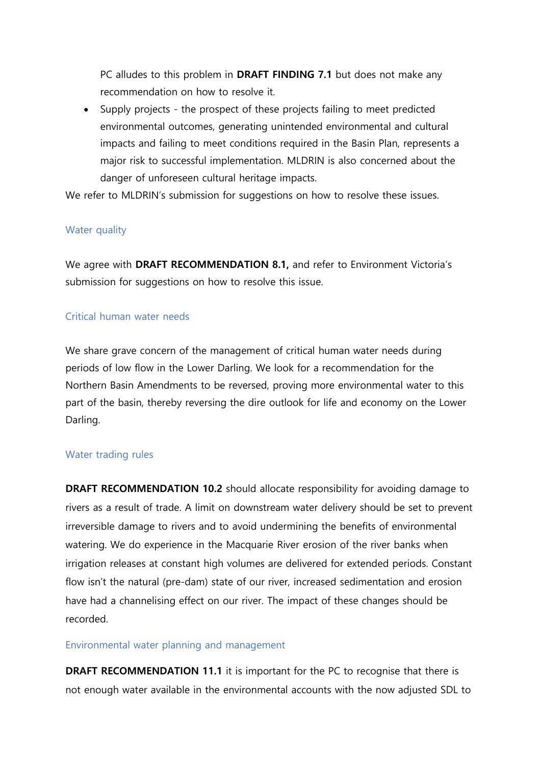PC alludes to this problem in **DRAFT FINDING 7.1** but does not make any recommendation on how to resolve it.

 Supply projects - the prospect of these projects failing to meet predicted environmental outcomes, generating unintended environmental and cultural impacts and failing to meet conditions required in the Basin Plan, represents a major risk to successful implementation. MLDRIN is also concerned about the danger of unforeseen cultural heritage impacts.

We refer to MLDRIN's submission for suggestions on how to resolve these issues.

# Water quality

We agree with **DRAFT RECOMMENDATION 8.1,** and refer to Environment Victoria's submission for suggestions on how to resolve this issue.

### Critical human water needs

We share grave concern of the management of critical human water needs during periods of low flow in the Lower Darling. We look for a recommendation for the Northern Basin Amendments to be reversed, proving more environmental water to this part of the basin, thereby reversing the dire outlook for life and economy on the Lower Darling.

### Water trading rules

**DRAFT RECOMMENDATION 10.2** should allocate responsibility for avoiding damage to rivers as a result of trade. A limit on downstream water delivery should be set to prevent irreversible damage to rivers and to avoid undermining the benefits of environmental watering. We do experience in the Macquarie River erosion of the river banks when irrigation releases at constant high volumes are delivered for extended periods. Constant flow isn't the natural (pre-dam) state of our river, increased sedimentation and erosion have had a channelising effect on our river. The impact of these changes should be recorded.

### Environmental water planning and management

**DRAFT RECOMMENDATION 11.1** it is important for the PC to recognise that there is not enough water available in the environmental accounts with the now adjusted SDL to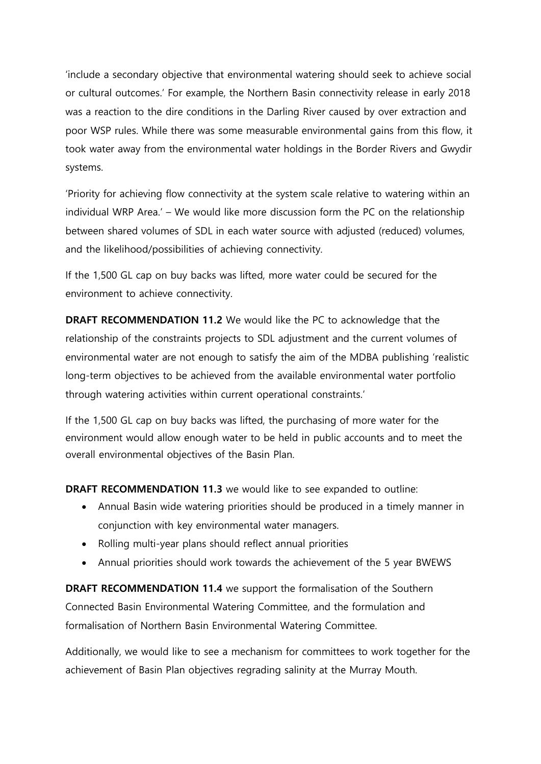'include a secondary objective that environmental watering should seek to achieve social or cultural outcomes.' For example, the Northern Basin connectivity release in early 2018 was a reaction to the dire conditions in the Darling River caused by over extraction and poor WSP rules. While there was some measurable environmental gains from this flow, it took water away from the environmental water holdings in the Border Rivers and Gwydir systems.

'Priority for achieving flow connectivity at the system scale relative to watering within an individual WRP Area.' – We would like more discussion form the PC on the relationship between shared volumes of SDL in each water source with adjusted (reduced) volumes, and the likelihood/possibilities of achieving connectivity.

If the 1,500 GL cap on buy backs was lifted, more water could be secured for the environment to achieve connectivity.

**DRAFT RECOMMENDATION 11.2** We would like the PC to acknowledge that the relationship of the constraints projects to SDL adjustment and the current volumes of environmental water are not enough to satisfy the aim of the MDBA publishing 'realistic long-term objectives to be achieved from the available environmental water portfolio through watering activities within current operational constraints.'

If the 1,500 GL cap on buy backs was lifted, the purchasing of more water for the environment would allow enough water to be held in public accounts and to meet the overall environmental objectives of the Basin Plan.

**DRAFT RECOMMENDATION 11.3** we would like to see expanded to outline:

- Annual Basin wide watering priorities should be produced in a timely manner in conjunction with key environmental water managers.
- Rolling multi-year plans should reflect annual priorities
- Annual priorities should work towards the achievement of the 5 year BWEWS

**DRAFT RECOMMENDATION 11.4** we support the formalisation of the Southern Connected Basin Environmental Watering Committee, and the formulation and formalisation of Northern Basin Environmental Watering Committee.

Additionally, we would like to see a mechanism for committees to work together for the achievement of Basin Plan objectives regrading salinity at the Murray Mouth.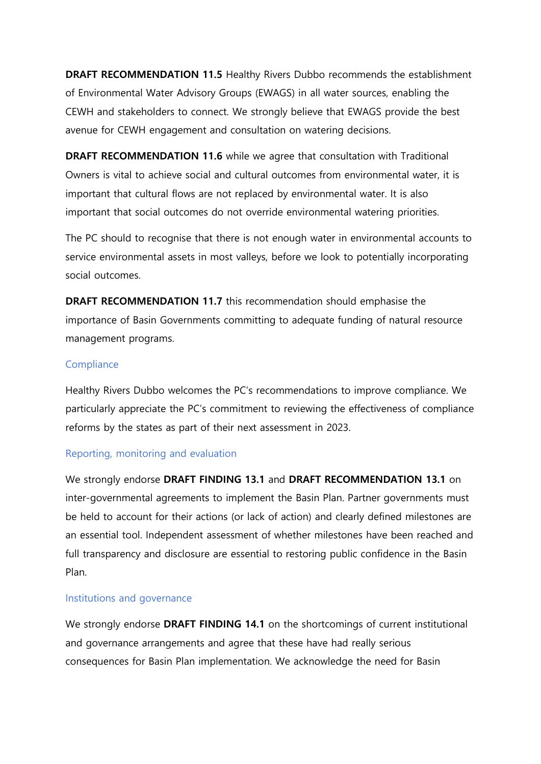**DRAFT RECOMMENDATION 11.5** Healthy Rivers Dubbo recommends the establishment of Environmental Water Advisory Groups (EWAGS) in all water sources, enabling the CEWH and stakeholders to connect. We strongly believe that EWAGS provide the best avenue for CEWH engagement and consultation on watering decisions.

**DRAFT RECOMMENDATION 11.6** while we agree that consultation with Traditional Owners is vital to achieve social and cultural outcomes from environmental water, it is important that cultural flows are not replaced by environmental water. It is also important that social outcomes do not override environmental watering priorities.

The PC should to recognise that there is not enough water in environmental accounts to service environmental assets in most valleys, before we look to potentially incorporating social outcomes.

**DRAFT RECOMMENDATION 11.7** this recommendation should emphasise the importance of Basin Governments committing to adequate funding of natural resource management programs.

#### **Compliance**

Healthy Rivers Dubbo welcomes the PC's recommendations to improve compliance. We particularly appreciate the PC's commitment to reviewing the effectiveness of compliance reforms by the states as part of their next assessment in 2023.

### Reporting, monitoring and evaluation

We strongly endorse **DRAFT FINDING 13.1** and **DRAFT RECOMMENDATION 13.1** on inter-governmental agreements to implement the Basin Plan. Partner governments must be held to account for their actions (or lack of action) and clearly defined milestones are an essential tool. Independent assessment of whether milestones have been reached and full transparency and disclosure are essential to restoring public confidence in the Basin Plan.

#### Institutions and governance

We strongly endorse **DRAFT FINDING 14.1** on the shortcomings of current institutional and governance arrangements and agree that these have had really serious consequences for Basin Plan implementation. We acknowledge the need for Basin